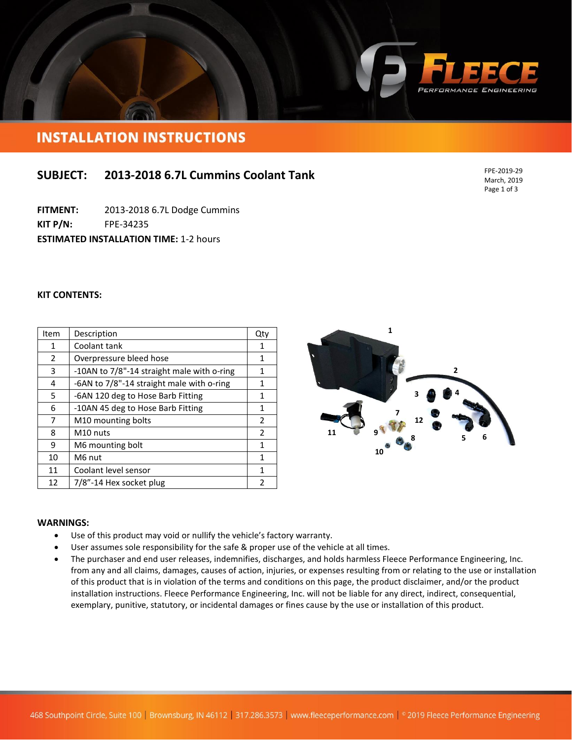

# **INSTALLATION INSTRUCTIONS**

## **SUBJECT: 2013-2018 6.7L Cummins Coolant Tank**

**FITMENT:** 2013-2018 6.7L Dodge Cummins

**KIT P/N:** FPE-34235

**ESTIMATED INSTALLATION TIME: 1-2 hours** 

#### **KIT CONTENTS:**

| Item         | Description                                | Qty           |
|--------------|--------------------------------------------|---------------|
| $\mathbf{1}$ | Coolant tank                               | 1             |
| 2            | Overpressure bleed hose                    | 1             |
| 3            | -10AN to 7/8"-14 straight male with o-ring | 1             |
| 4            | -6AN to 7/8"-14 straight male with o-ring  | 1             |
| 5            | -6AN 120 deg to Hose Barb Fitting          | 1             |
| 6            | -10AN 45 deg to Hose Barb Fitting          | 1             |
| 7            | M <sub>10</sub> mounting bolts             | $\mathcal{P}$ |
| 8            | M <sub>10</sub> nuts                       | 2             |
| 9            | M6 mounting bolt                           | 1             |
| 10           | M6 nut                                     | 1             |
| 11           | Coolant level sensor                       | 1             |
| 12           | 7/8"-14 Hex socket plug                    | 2             |



#### **WARNINGS:**

- Use of this product may void or nullify the vehicle's factory warranty.
- User assumes sole responsibility for the safe & proper use of the vehicle at all times.
- The purchaser and end user releases, indemnifies, discharges, and holds harmless Fleece Performance Engineering, Inc. from any and all claims, damages, causes of action, injuries, or expenses resulting from or relating to the use or installation of this product that is in violation of the terms and conditions on this page, the product disclaimer, and/or the product installation instructions. Fleece Performance Engineering, Inc. will not be liable for any direct, indirect, consequential, exemplary, punitive, statutory, or incidental damages or fines cause by the use or installation of this product.

FPE-2019-29 March, 2019 Page 1 of 3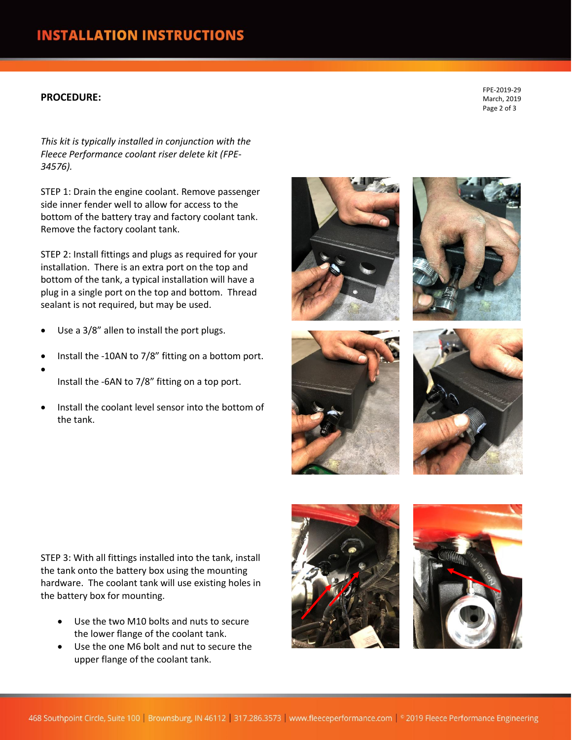### **PROCEDURE:**

FPE-2019-29 March, 2019 Page 2 of 3

*This kit is typically installed in conjunction with the Fleece Performance coolant riser delete kit (FPE-34576).*

STEP 1: Drain the engine coolant. Remove passenger side inner fender well to allow for access to the bottom of the battery tray and factory coolant tank. Remove the factory coolant tank.

STEP 2: Install fittings and plugs as required for your installation. There is an extra port on the top and bottom of the tank, a typical installation will have a plug in a single port on the top and bottom. Thread sealant is not required, but may be used.

- Use a 3/8" allen to install the port plugs.
- Install the -10AN to 7/8" fitting on a bottom port.
- $\bullet$ Install the -6AN to 7/8" fitting on a top port.
- Install the coolant level sensor into the bottom of the tank.









STEP 3: With all fittings installed into the tank, install the tank onto the battery box using the mounting hardware. The coolant tank will use existing holes in the battery box for mounting.

- Use the two M10 bolts and nuts to secure the lower flange of the coolant tank.
- Use the one M6 bolt and nut to secure the upper flange of the coolant tank.